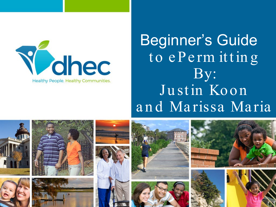

### Beginner's Guide to ePermitting By: Justin Koon and Marissa Maria

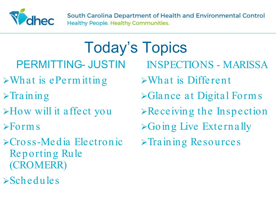

Today's Topics PERMITTING- JUSTIN  $\triangleright$ What is ePermitting

- $\triangleright$ Training
- How will it affect you
- $\triangleright$  Form s
- Cross-Media Electronic Reporting Rule (CROMERR)
- $\triangleright$ Schedules

INSPECTIONS - MARISSA What is Different Glance at Digital Form s  $\triangleright$  Receiving the Inspection  $\triangleright$  Going Live Externally  $\triangleright$ Training Resources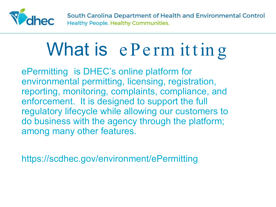

# What is e Perm itting

ePermitting is DHEC's online platform for environmental permitting, licensing, registration, reporting, monitoring, complaints, compliance, and enforcement. It is designed to support the full regulatory lifecycle while allowing our customers to do business with the agency through the platform; among many other features.

https://scdhec.gov/environment/ePermitting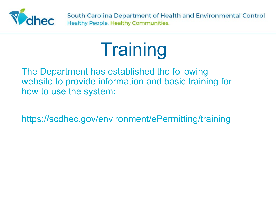

# **Training**

The Department has established the following website to provide information and basic training for how to use the system:

https://scdhec.gov/environment/ePermitting/training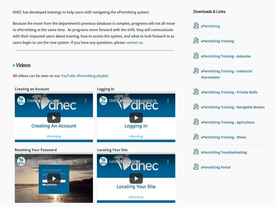DHEC has developed trainings to help users with navigating the ePermitting system.

Because the move from the department's previous database is complex, programs will not all move to ePermitting at the same time. As programs move forward with the shift, they will communicate with their impacted users about training, how to access the system, and what to look forward to as users begin to use the new system. If you have any questions, please contact us.

#### · Videos

All videos can be seen on our YouTube ePermitting playlist.



#### Downloads & Links

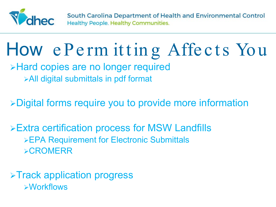

### How e Perm itting Affects You

**>Hard copies are no longer required** All digital submittals in pdf format

Digital forms require you to provide more information

Extra certification process for MSW Landfills EPA Requirement for Electronic Submittals **>CROMERR** 

**≻Track application progress** Workflows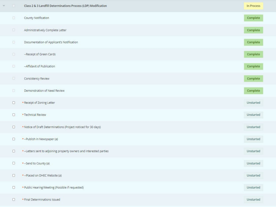| $\overline{\mathbb{G}}$ .              | Class 2 & 3 Landfill Determinations Process (LDP) Modification     | In Process |
|----------------------------------------|--------------------------------------------------------------------|------------|
| $\begin{array}{c} \square \end{array}$ | County Notification                                                | Complete   |
| $\begin{array}{c} \square \end{array}$ | Administratively Complete Letter                                   | Complete   |
| $\Box$                                 | Documentation of Applicant's Notification                          | Complete   |
|                                        | --Receipt of Green Cards                                           | Complete   |
| $\Box$                                 | -- Affidavit of Publication                                        | Complete   |
| $\Box$                                 | Consistency Review                                                 | Complete   |
| O.                                     | Demonstration of Need Review                                       | Complete   |
| $\Box$                                 | • Receipt of Zoning Letter                                         | Unstarted  |
| $\Box$                                 | • Technical Review                                                 | Unstarted  |
| $\Box$                                 | . Notice of Draft Determinations (Project noticed for 30 days)     | Unstarted  |
| $\Box$                                 | • -- Publish in Newspaper (a)                                      | Unstarted  |
| $\Box$                                 | . Letters sent to adjoining property owners and interested parties | Unstarted  |
| $\Box$                                 | •-Send to County (a)                                               | Unstarted  |
| $\Box$                                 | . -- Placed on DHEC Website (a)                                    | Unstarted  |
| $\Box$                                 | • Public Hearing/Meeting (Possible if requested)                   | Unstarted  |
| $\Box$                                 | . Final Determinations Issued                                      | Unstarted  |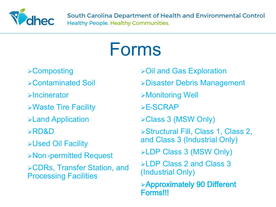

### Forms

- **≻Composting**
- Contaminated Soil
- **Exercice** Encineerator
- Waste Tire Facility
- Land Application
- RD&D
- Used Oil Facility
- Non-permitted Request
- CDRs, Transfer Station, and Processing Facilities
- Oil and Gas Exploration
- Disaster Debris Management
- Monitoring Well
- E-SCRAP
- Class 3 (MSW Only)
- Structural Fill, Class 1, Class 2, and Class 3 (Industrial Only)
- LDP Class 3 (MSW Only)
- **LDP Class 2 and Class 3** (Industrial Only)
- Approximately 90 Different Forms!!!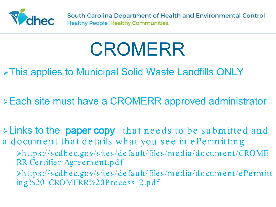

## CROMERR

### **≻This applies to Municipal Solid Waste Landfills ONLY**

- Each site must have a CROMERR approved administrator
- $\blacktriangleright$  Links to the paper copy that needs to be submitted and a docum ent that details what you see in ePerm itting
	- https://scdhec.gov/sites/default/files/m edia/docum ent/CROME RR-Certifier-Agreem ent.pdf
	- https://scdhec.gov/sites/default/files/m edia/docum ent/ePerm itt ing%20\_CROMERR%20Process\_2.pdf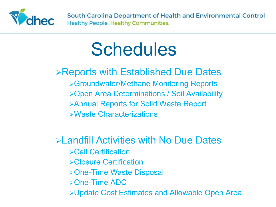

### **Schedules**

### Reports with Established Due Dates

Groundwater/Methane Monitoring Reports Open Area Determinations / Soil Availability Annual Reports for Solid Waste Report Waste Characterizations

#### Landfill Activities with No Due Dates

- Cell Certification
- Closure Certification
- One-Time Waste Disposal
- One-Time ADC
- Update Cost Estimates and Allowable Open Area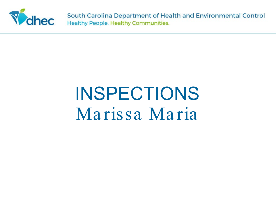

## **INSPECTIONS** Marissa Maria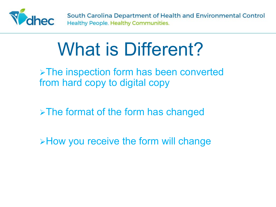

## What is Different?

**>The inspection form has been converted** from hard copy to digital copy

 $\triangleright$  The format of the form has changed

**EXTE:** The form will change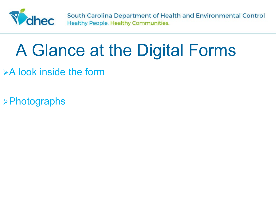

### A Glance at the Digital Forms

- $\triangleright$  A look inside the form
- **>Photographs**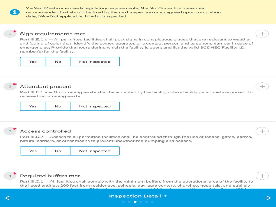Y - Yes: Meets or exceeds regulatory requirements; N - No: Corrective measures recommended that should be fixed by the next inspection or an agreed upon completion date; NA - Not applicable; NI - Not inspected

#### Sign requirements met

Part III.E.1.b - All permitted facilities shall post signs in conspicuous places that are resistant to weather and fading of color that: Identify the owner, operator, or a contact person and telephone number in case of emergencies; Provide the hours during which the facility is open; and list the valid SCDHEC Facility I.D. number(s) for the facility.

| Yes | Not Inspected |
|-----|---------------|
|     |               |

Attendant present

Part III.E.1.a - No incoming waste shall be accepted by the facility unless facility personnel are present to receive the incoming waste.

| Yes | No | Not Inspected |  |
|-----|----|---------------|--|
|-----|----|---------------|--|

#### Access controlled

Part III.D.7 - Access to all permitted facilities shall be controlled through the use of fences, gates, berms, natural barriers, or other means to prevent unauthorized dumping and access.

| Not Inspected |
|---------------|
|               |



#### Required buffers met

Part III.C.1 - All facilities shall comply with the minimum buffers from the operational area of the facility to the listed entities: 200 feet from residences, schools, day-care centers, churches, hospitals, and publicly



#### **Inspection Detail v**  $\bullet$

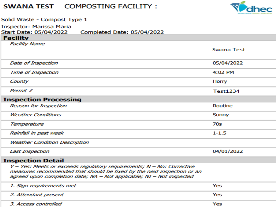#### **SWANA TEST COMPOSTING FACILITY:**



| Solid Waste - Compost Type 1                                                                                                                   |                   |  |  |  |
|------------------------------------------------------------------------------------------------------------------------------------------------|-------------------|--|--|--|
| Inspector: Marissa Maria                                                                                                                       |                   |  |  |  |
| Start Date: 05/04/2022<br>Completed Date: 05/04/2022<br><b>Facility</b>                                                                        |                   |  |  |  |
| <b>Facility Name</b>                                                                                                                           |                   |  |  |  |
|                                                                                                                                                | <b>Swana Test</b> |  |  |  |
| Date of Inspection                                                                                                                             | 05/04/2022        |  |  |  |
| <b>Time of Inspection</b>                                                                                                                      | 4:02 PM           |  |  |  |
| County                                                                                                                                         | Horry             |  |  |  |
| Permit #                                                                                                                                       | <b>Test1234</b>   |  |  |  |
| <b>Inspection Processing</b>                                                                                                                   |                   |  |  |  |
| <b>Reason for Inspection</b>                                                                                                                   | Routine           |  |  |  |
| <b>Weather Conditions</b>                                                                                                                      | Sunny             |  |  |  |
| Temperature                                                                                                                                    | 70s               |  |  |  |
| Rainfall in past week                                                                                                                          | $1 - 1.5$         |  |  |  |
| <b>Weather Condition Description</b>                                                                                                           |                   |  |  |  |
| <b>Last Inspection</b>                                                                                                                         | 04/01/2022        |  |  |  |
| <b>Inspection Detail</b>                                                                                                                       |                   |  |  |  |
| Y - Yes: Meets or exceeds regulatory requirements; N - No: Corrective                                                                          |                   |  |  |  |
| measures recommended that should be fixed by the next inspection or an<br>agreed upon completion date; NA - Not applicable; NI - Not inspected |                   |  |  |  |
| 1. Sign requirements met                                                                                                                       | Yes               |  |  |  |
| 2. Attendant present                                                                                                                           | Yes               |  |  |  |

3. Access controlled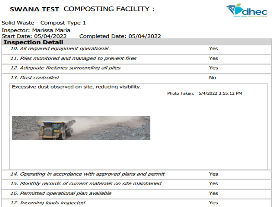#### **SWANA TEST COMPOSTING FACILITY:**



| Solid Waste - Compost Type 1                                                            |                                  |  |  |  |  |
|-----------------------------------------------------------------------------------------|----------------------------------|--|--|--|--|
| <b>Inspector: Marissa Maria</b><br>Start Date: 05/04/2022<br>Completed Date: 05/04/2022 |                                  |  |  |  |  |
| <b>Inspection Detail</b>                                                                |                                  |  |  |  |  |
| 10. All required equipment operational                                                  | Yes                              |  |  |  |  |
| 11. Piles monitored and managed to prevent fires                                        | Yes                              |  |  |  |  |
| 12. Adequate firelanes surrounding all piles                                            | Yes                              |  |  |  |  |
| 13. Dust controlled                                                                     | No                               |  |  |  |  |
| Excessive dust observed on site, reducing visibility.                                   |                                  |  |  |  |  |
|                                                                                         | Photo Taken: 5/4/2022 3:55:12 PM |  |  |  |  |
|                                                                                         |                                  |  |  |  |  |
| 14. Operating in accordance with approved plans and permit                              | Yes                              |  |  |  |  |
| 15. Monthly records of current materials on site maintained                             | Yes                              |  |  |  |  |
| 16. Permitted operational plan available                                                | Yes                              |  |  |  |  |
| 17. Incoming loads inspected                                                            | Yes                              |  |  |  |  |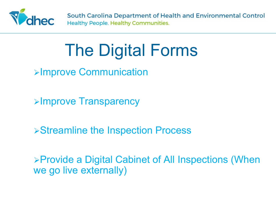

### The Digital Forms

Improve Communication

**Example Transparency** 

Streamline the Inspection Process

Provide a Digital Cabinet of All Inspections (When we go live externally)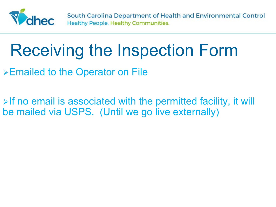

### Receiving the Inspection Form

Emailed to the Operator on File

 $\triangleright$  If no email is associated with the permitted facility, it will be mailed via USPS. (Until we go live externally)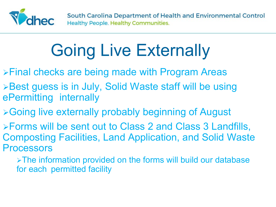

## Going Live Externally

- Final checks are being made with Program Areas
- **≻Best guess is in July, Solid Waste staff will be using** ePermitting internally
- **≻Going live externally probably beginning of August**
- Forms will be sent out to Class 2 and Class 3 Landfills, Composting Facilities, Land Application, and Solid Waste Processors
	- > The information provided on the forms will build our database for each permitted facility